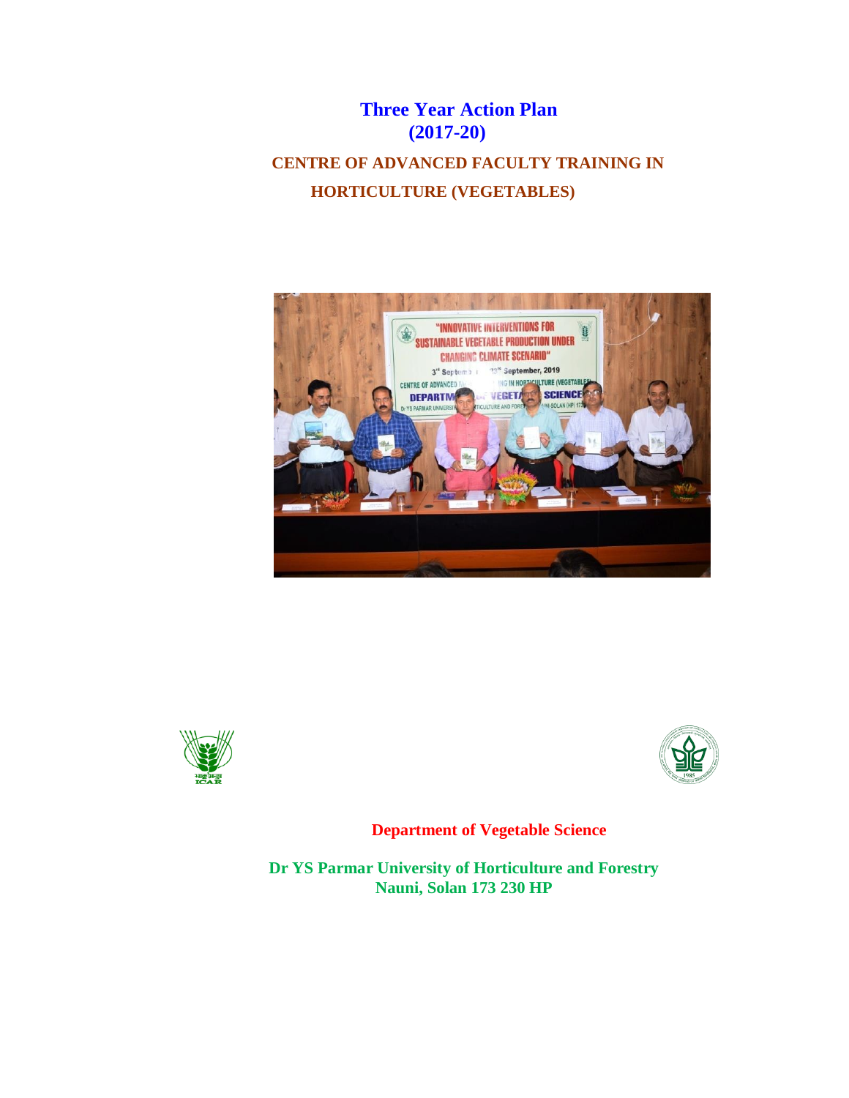# **Three Year Action Plan (2017-20)**

# **CENTRE OF ADVANCED FACULTY TRAINING IN HORTICULTURE (VEGETABLES)**







**Department of Vegetable Science**

**Dr YS Parmar University of Horticulture and Forestry Nauni, Solan 173 230 HP**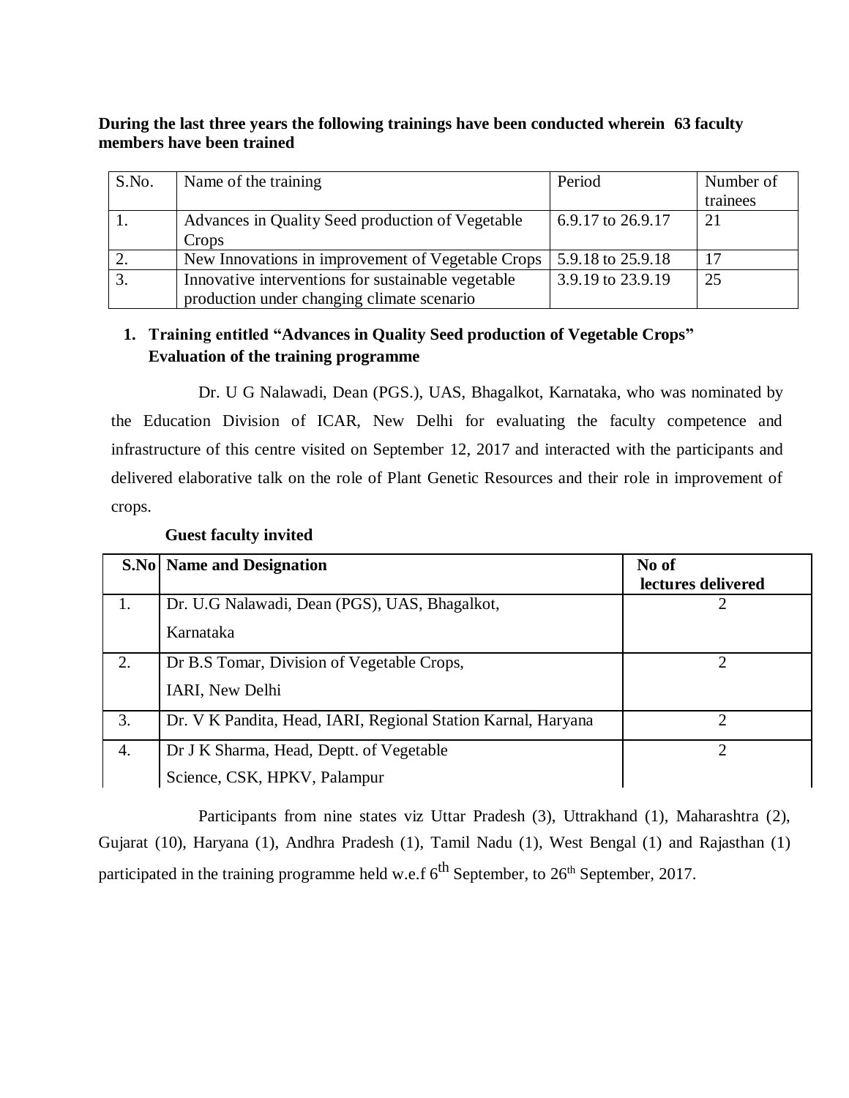#### **During the last three years the following trainings have been conducted wherein 63 faculty members have been trained**

| S.No. | Name of the training                               | Period            | Number of |
|-------|----------------------------------------------------|-------------------|-----------|
|       |                                                    |                   | trainees  |
|       | Advances in Quality Seed production of Vegetable   | 6.9.17 to 26.9.17 | 21        |
|       | Crops                                              |                   |           |
|       | New Innovations in improvement of Vegetable Crops  | 5.9.18 to 25.9.18 |           |
|       | Innovative interventions for sustainable vegetable | 3.9.19 to 23.9.19 | 25        |
|       | production under changing climate scenario         |                   |           |

### **1. Training entitled "Advances in Quality Seed production of Vegetable Crops" Evaluation of the training programme**

Dr. U G Nalawadi, Dean (PGS.), UAS, Bhagalkot, Karnataka, who was nominated by the Education Division of ICAR, New Delhi for evaluating the faculty competence and infrastructure of this centre visited on September 12, 2017 and interacted with the participants and delivered elaborative talk on the role of Plant Genetic Resources and their role in improvement of crops.

|    | <b>S.No</b> Name and Designation                              | No of<br>lectures delivered |
|----|---------------------------------------------------------------|-----------------------------|
|    | Dr. U.G Nalawadi, Dean (PGS), UAS, Bhagalkot,                 |                             |
|    | Karnataka                                                     |                             |
| 2. | Dr B.S Tomar, Division of Vegetable Crops,                    | ◠                           |
|    | IARI, New Delhi                                               |                             |
| 3. | Dr. V K Pandita, Head, IARI, Regional Station Karnal, Haryana | ∍                           |
| 4. | Dr J K Sharma, Head, Deptt. of Vegetable                      |                             |
|    | Science, CSK, HPKV, Palampur                                  |                             |

#### **Guest faculty invited**

Participants from nine states viz Uttar Pradesh (3), Uttrakhand (1), Maharashtra (2), Gujarat (10), Haryana (1), Andhra Pradesh (1), Tamil Nadu (1), West Bengal (1) and Rajasthan (1) participated in the training programme held w.e.f  $6^{th}$  September, to  $26^{th}$  September, 2017.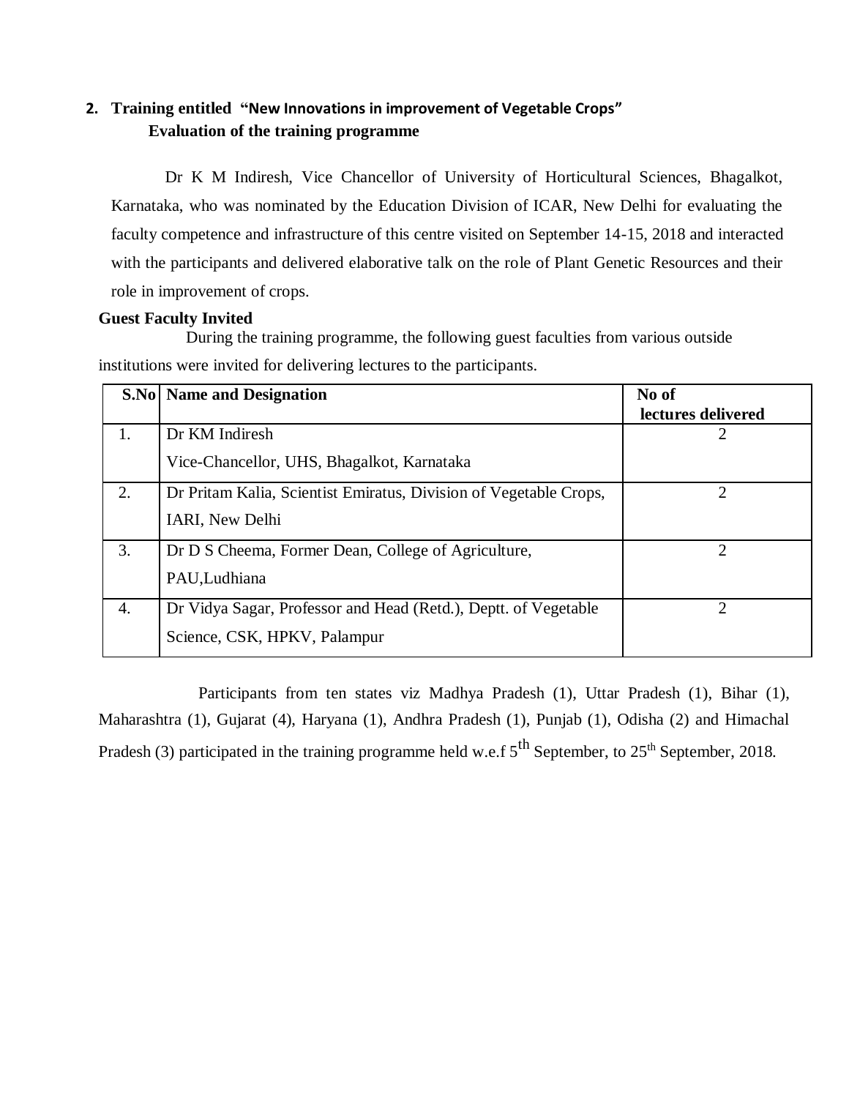## **2. Training entitled "New Innovations in improvement of Vegetable Crops" Evaluation of the training programme**

Dr K M Indiresh, Vice Chancellor of University of Horticultural Sciences, Bhagalkot, Karnataka, who was nominated by the Education Division of ICAR, New Delhi for evaluating the faculty competence and infrastructure of this centre visited on September 14-15, 2018 and interacted with the participants and delivered elaborative talk on the role of Plant Genetic Resources and their role in improvement of crops.

#### **Guest Faculty Invited**

During the training programme, the following guest faculties from various outside institutions were invited for delivering lectures to the participants.

|    | <b>S.No</b> Name and Designation                                  | No of<br>lectures delivered |
|----|-------------------------------------------------------------------|-----------------------------|
| 1. | Dr KM Indiresh                                                    |                             |
|    | Vice-Chancellor, UHS, Bhagalkot, Karnataka                        |                             |
| 2. | Dr Pritam Kalia, Scientist Emiratus, Division of Vegetable Crops, | 2                           |
|    | IARI, New Delhi                                                   |                             |
| 3. | Dr D S Cheema, Former Dean, College of Agriculture,               | $\mathcal{D}_{\mathcal{A}}$ |
|    | PAU, Ludhiana                                                     |                             |
| 4. | Dr Vidya Sagar, Professor and Head (Retd.), Deptt. of Vegetable   | ∍                           |
|    | Science, CSK, HPKV, Palampur                                      |                             |

Participants from ten states viz Madhya Pradesh (1), Uttar Pradesh (1), Bihar (1), Maharashtra (1), Gujarat (4), Haryana (1), Andhra Pradesh (1), Punjab (1), Odisha (2) and Himachal Pradesh (3) participated in the training programme held w.e.f  $5^{th}$  September, to  $25^{th}$  September, 2018.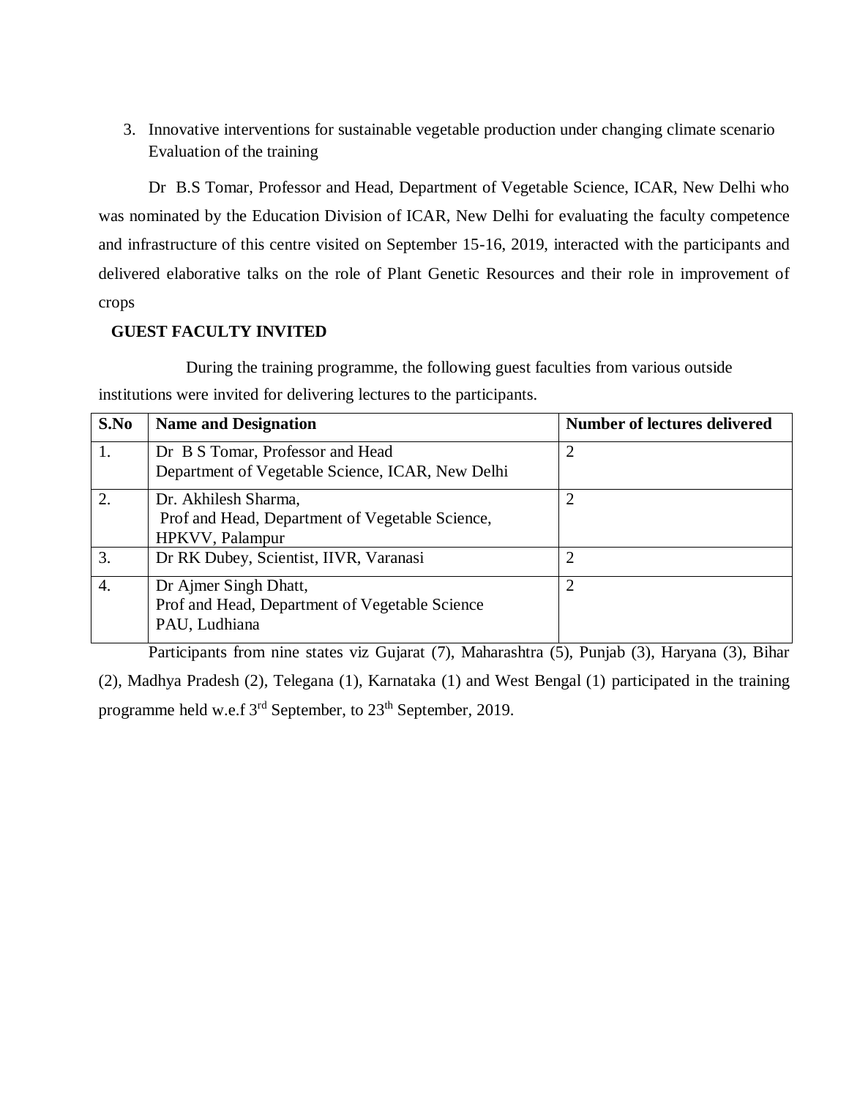3. Innovative interventions for sustainable vegetable production under changing climate scenario Evaluation of the training

Dr B.S Tomar, Professor and Head, Department of Vegetable Science, ICAR, New Delhi who was nominated by the Education Division of ICAR, New Delhi for evaluating the faculty competence and infrastructure of this centre visited on September 15-16, 2019, interacted with the participants and delivered elaborative talks on the role of Plant Genetic Resources and their role in improvement of crops

#### **GUEST FACULTY INVITED**

During the training programme, the following guest faculties from various outside institutions were invited for delivering lectures to the participants.

| S.No | <b>Name and Designation</b>                                                                | <b>Number of lectures delivered</b> |
|------|--------------------------------------------------------------------------------------------|-------------------------------------|
|      | Dr B S Tomar, Professor and Head<br>Department of Vegetable Science, ICAR, New Delhi       | 2                                   |
| 2.   | Dr. Akhilesh Sharma,<br>Prof and Head, Department of Vegetable Science,<br>HPKVV, Palampur | 2                                   |
| 3.   | Dr RK Dubey, Scientist, IIVR, Varanasi                                                     | 2                                   |
| 4.   | Dr Ajmer Singh Dhatt,<br>Prof and Head, Department of Vegetable Science<br>PAU, Ludhiana   | $\overline{2}$                      |

Participants from nine states viz Gujarat (7), Maharashtra (5), Punjab (3), Haryana (3), Bihar (2), Madhya Pradesh (2), Telegana (1), Karnataka (1) and West Bengal (1) participated in the training programme held w.e.f 3<sup>rd</sup> September, to 23<sup>th</sup> September, 2019.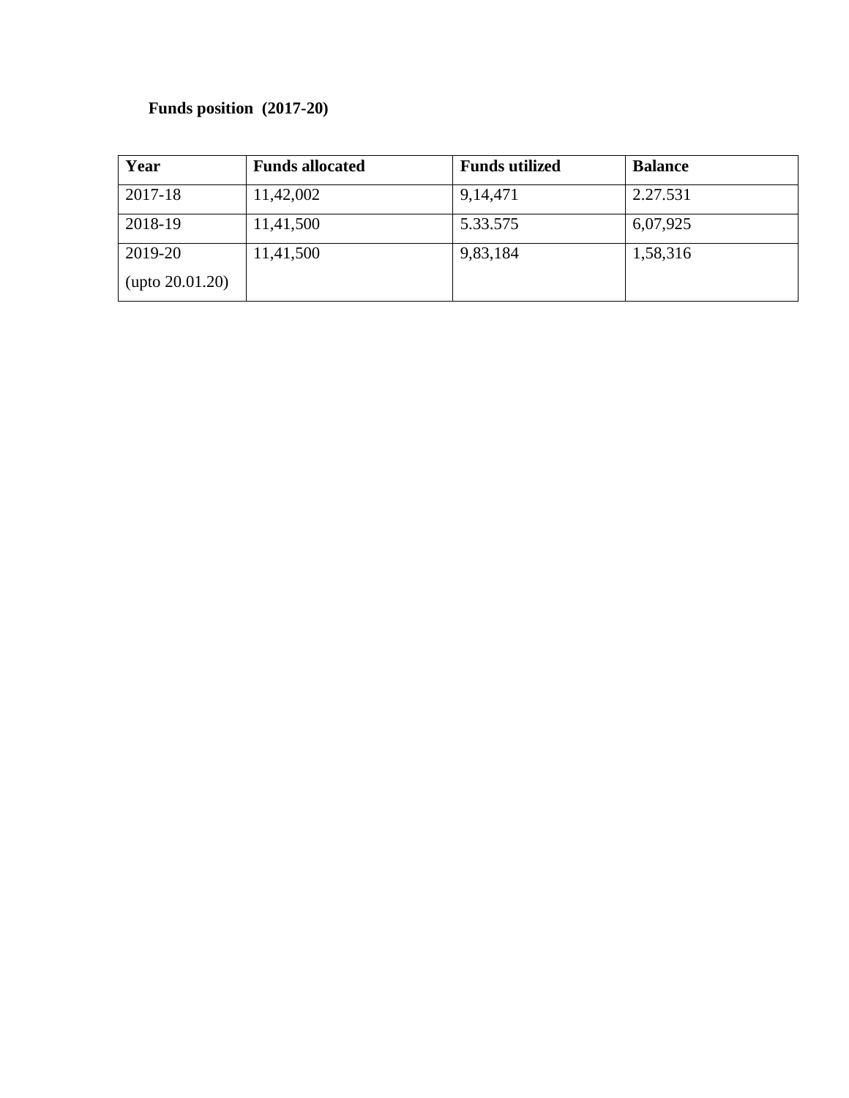## **Funds position (2017-20)**

| Year                      | <b>Funds allocated</b> | <b>Funds utilized</b> | <b>Balance</b> |
|---------------------------|------------------------|-----------------------|----------------|
| 2017-18                   | 11,42,002              | 9, 14, 471            | 2.27.531       |
| 2018-19                   | 11,41,500              | 5.33.575              | 6,07,925       |
| 2019-20                   | 11,41,500              | 9,83,184              | 1,58,316       |
| $(\text{upto } 20.01.20)$ |                        |                       |                |